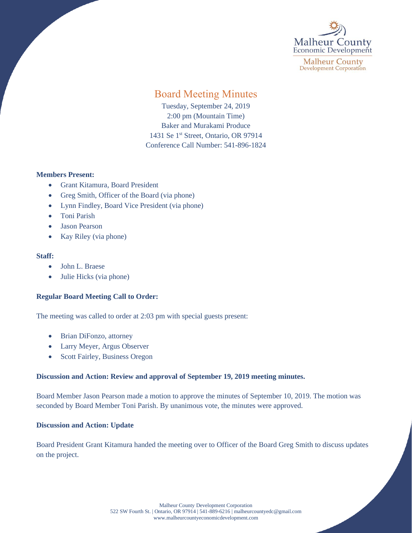

**Malheur County Development Corporation** 

# Board Meeting Minutes

Tuesday, September 24, 2019 2:00 pm (Mountain Time) Baker and Murakami Produce 1431 Se 1<sup>st</sup> Street, Ontario, OR 97914 Conference Call Number: 541-896-1824

## **Members Present:**

- Grant Kitamura, Board President
- Greg Smith, Officer of the Board (via phone)
- Lynn Findley, Board Vice President (via phone)
- Toni Parish
- Jason Pearson
- Kay Riley (via phone)

#### **Staff:**

- John L. Braese
- Julie Hicks (via phone)

## **Regular Board Meeting Call to Order:**

The meeting was called to order at 2:03 pm with special guests present:

- Brian DiFonzo, attorney
- Larry Meyer, Argus Observer
- Scott Fairley, Business Oregon

## **Discussion and Action: Review and approval of September 19, 2019 meeting minutes.**

Board Member Jason Pearson made a motion to approve the minutes of September 10, 2019. The motion was seconded by Board Member Toni Parish. By unanimous vote, the minutes were approved.

#### **Discussion and Action: Update**

Board President Grant Kitamura handed the meeting over to Officer of the Board Greg Smith to discuss updates on the project.